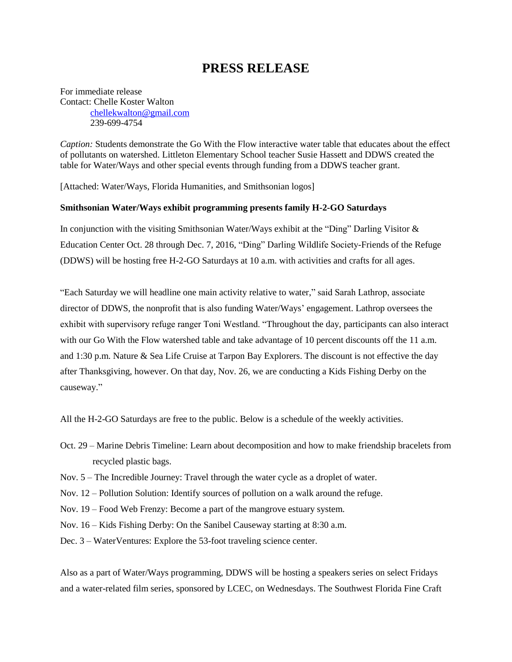## **PRESS RELEASE**

For immediate release Contact: Chelle Koster Walton [chellekwalton@gmail.com](mailto:chellekwalton@gmail.com) 239-699-4754

*Caption:* Students demonstrate the Go With the Flow interactive water table that educates about the effect of pollutants on watershed. Littleton Elementary School teacher Susie Hassett and DDWS created the table for Water/Ways and other special events through funding from a DDWS teacher grant.

[Attached: Water/Ways, Florida Humanities, and Smithsonian logos]

## **Smithsonian Water/Ways exhibit programming presents family H-2-GO Saturdays**

In conjunction with the visiting Smithsonian Water/Ways exhibit at the "Ding" Darling Visitor & Education Center Oct. 28 through Dec. 7, 2016, "Ding" Darling Wildlife Society-Friends of the Refuge (DDWS) will be hosting free H-2-GO Saturdays at 10 a.m. with activities and crafts for all ages.

"Each Saturday we will headline one main activity relative to water," said Sarah Lathrop, associate director of DDWS, the nonprofit that is also funding Water/Ways' engagement. Lathrop oversees the exhibit with supervisory refuge ranger Toni Westland. "Throughout the day, participants can also interact with our Go With the Flow watershed table and take advantage of 10 percent discounts off the 11 a.m. and 1:30 p.m. Nature & Sea Life Cruise at Tarpon Bay Explorers. The discount is not effective the day after Thanksgiving, however. On that day, Nov. 26, we are conducting a Kids Fishing Derby on the causeway."

All the H-2-GO Saturdays are free to the public. Below is a schedule of the weekly activities.

- Oct. 29 Marine Debris Timeline: Learn about decomposition and how to make friendship bracelets from recycled plastic bags.
- Nov. 5 The Incredible Journey: Travel through the water cycle as a droplet of water.
- Nov. 12 Pollution Solution: Identify sources of pollution on a walk around the refuge.
- Nov. 19 Food Web Frenzy: Become a part of the mangrove estuary system.
- Nov. 16 Kids Fishing Derby: On the Sanibel Causeway starting at 8:30 a.m.
- Dec. 3 WaterVentures: Explore the 53-foot traveling science center.

Also as a part of Water/Ways programming, DDWS will be hosting a speakers series on select Fridays and a water-related film series, sponsored by LCEC, on Wednesdays. The Southwest Florida Fine Craft